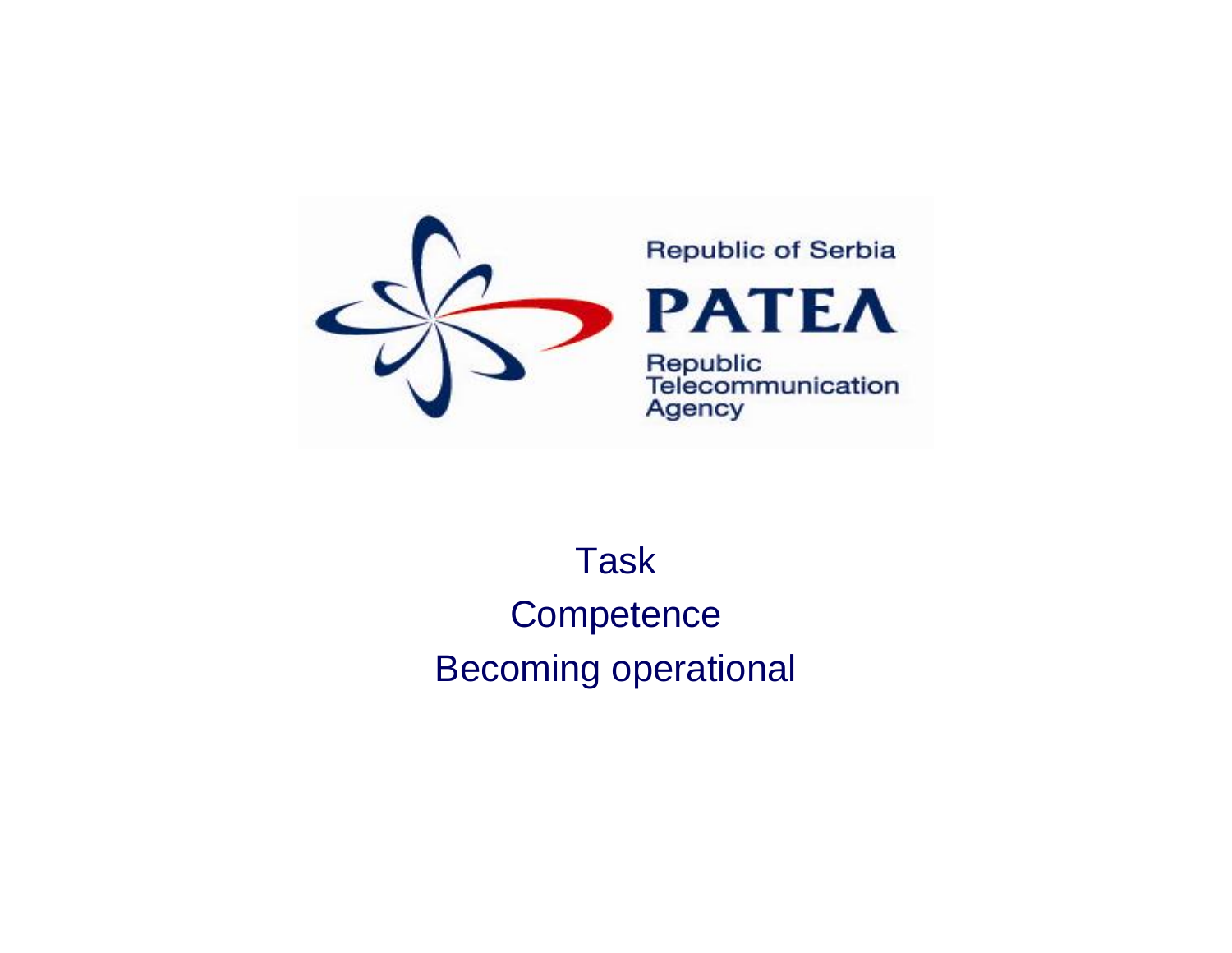

## **Republic of Serbia**



Republic<br>Telecommunication **Agency** 

## Task**Competence** Becoming operational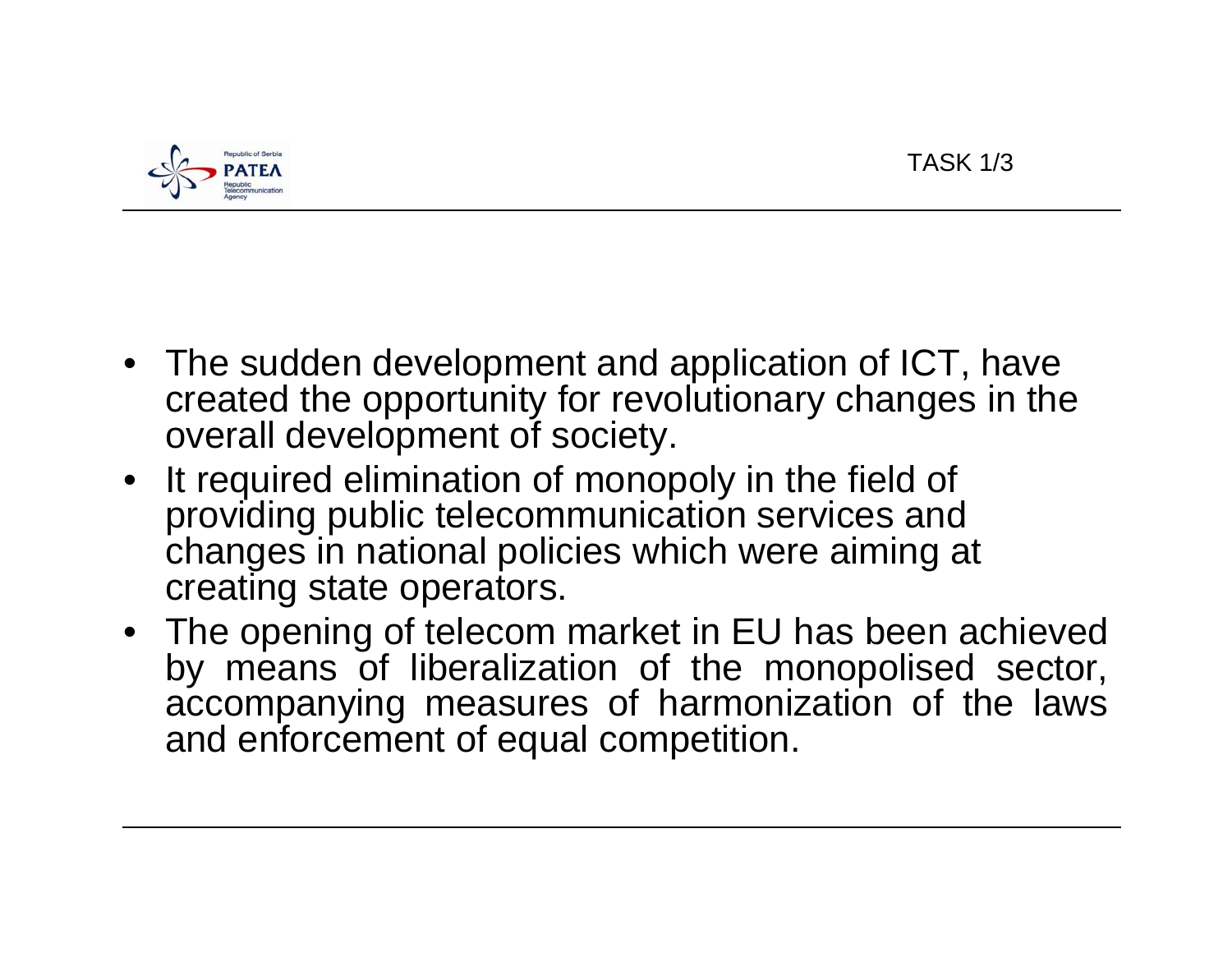

- The sudden development and application of ICT, have created the opportunity for revolutionary changes in the overall development of society.
- It required elimination of monopoly in the field of providing public telecommunication services and changes in national policies which were aiming at creating state operators.
- The opening of telecom market in EU has been achieved by means of liberalization of the monopolised sector, accompanying measures of harmonization of the laws and enforcement of equal competition.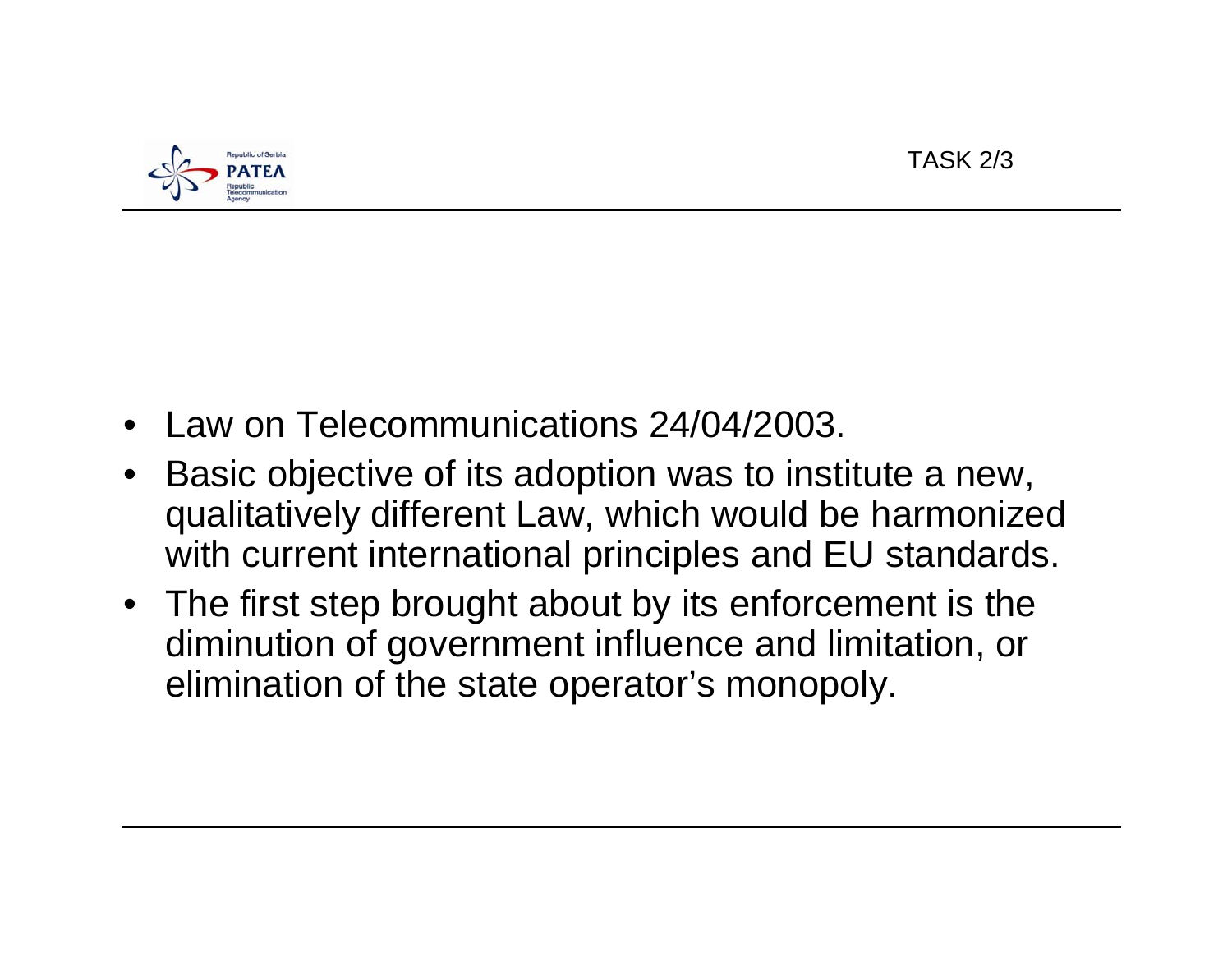

- •Law on Telecommunications 24/04/2003.
- • Basic objective of its adoption was to institute a new, qualitatively different Law, which would be harmonized with current international principles and EU standards.
- The first step brought about by its enforcement is the diminution of government influence and limitation, or elimination of the state operator's monopoly.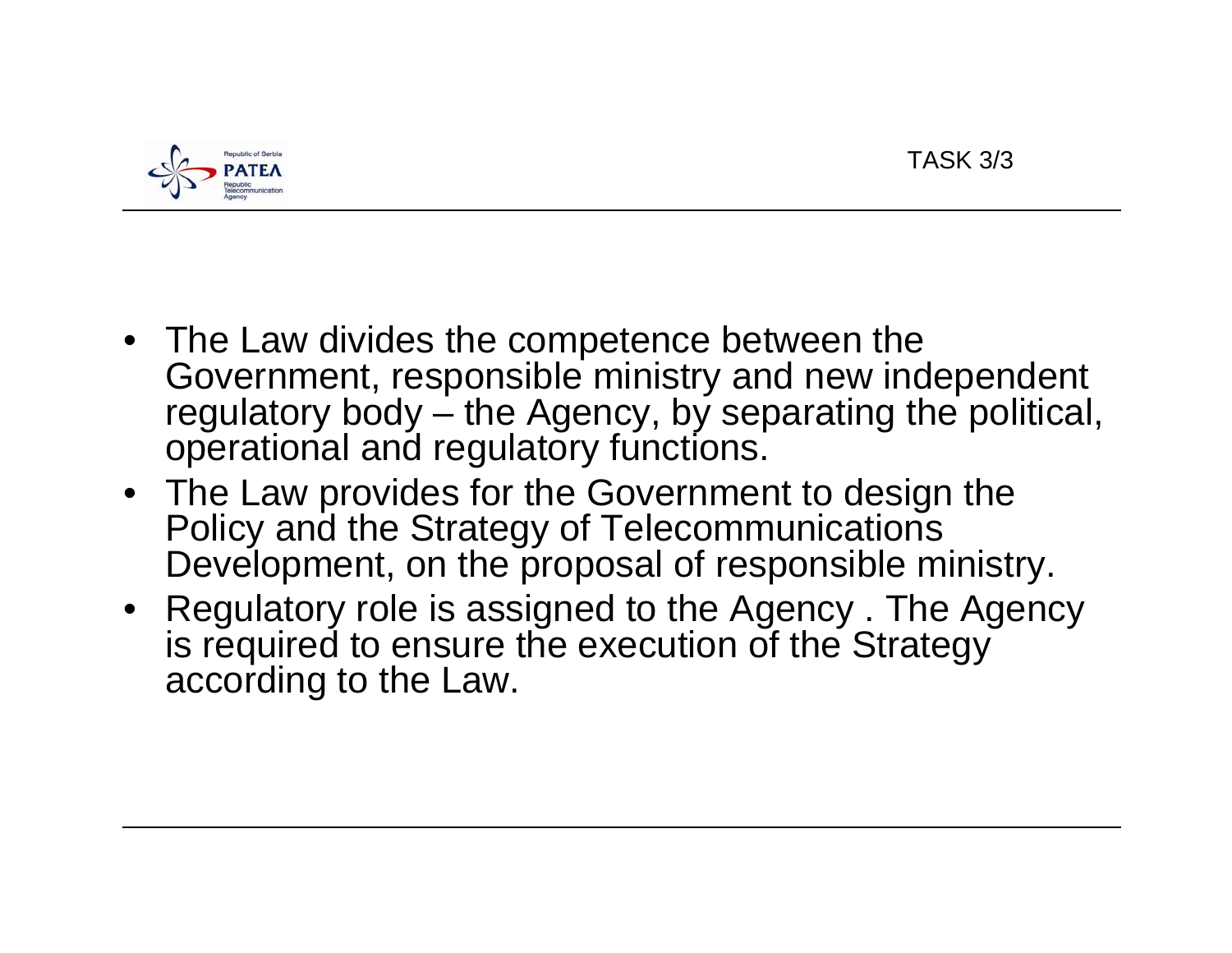

- The Law divides the competence between the Government, responsible ministry and new independent regulatory body – the Agency, by separating the political, operational and regulatory functions.
- The Law provides for the Government to design the Policy and the Strategy of Telecommunications Development, on the proposal of responsible ministry.
- Regulatory role is assigned to the Agency . The Agency is required to ensure the execution of the Strategy according to the Law.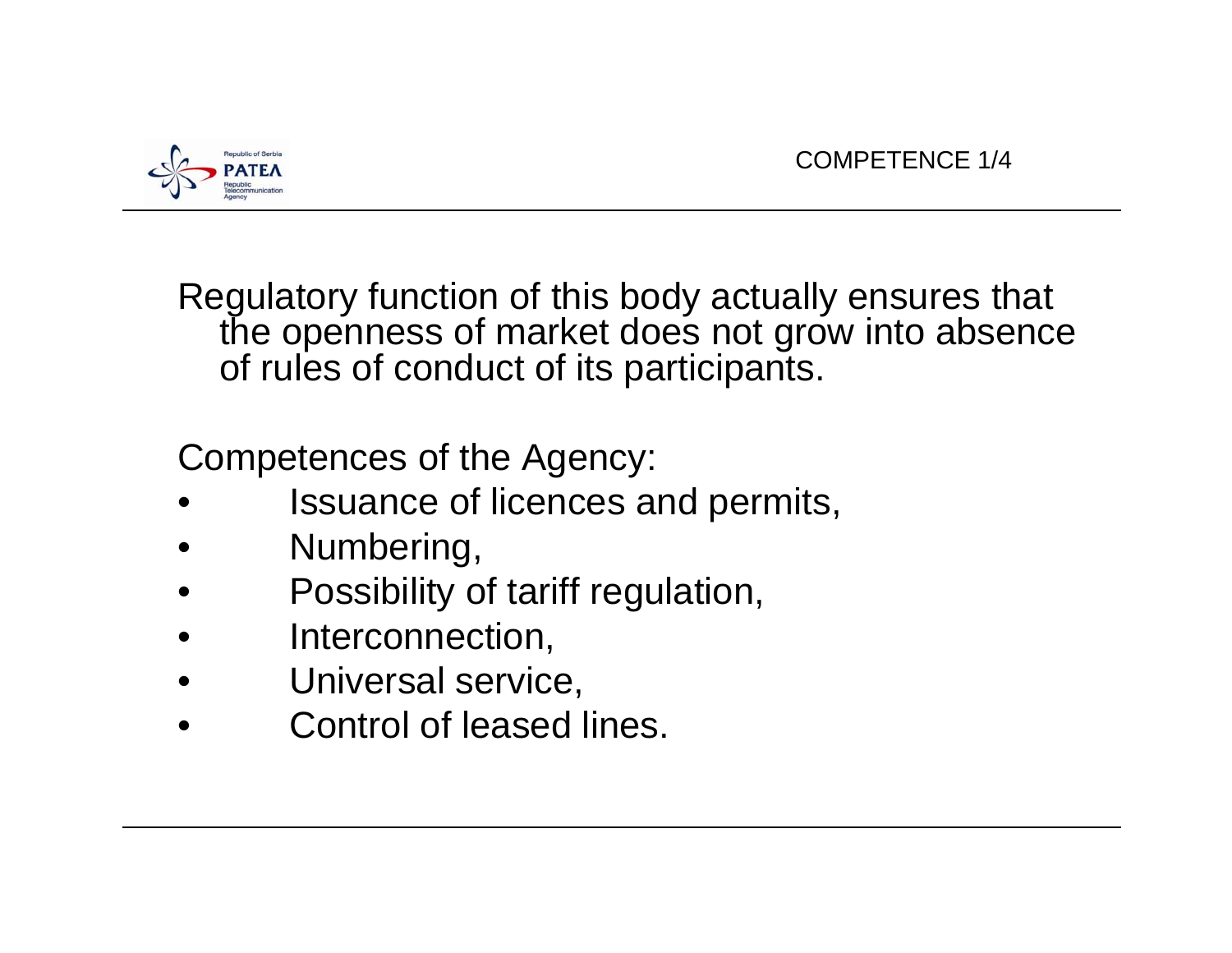

Regulatory function of this body actually ensures that the openness of market does not grow into absence of rules of conduct of its participants.

Competences of the Agency:

- •Issuance of licences and permits,
- •Numbering,
- •Possibility of tariff regulation,
- •Interconnection,
- •Universal service,
- •Control of leased lines.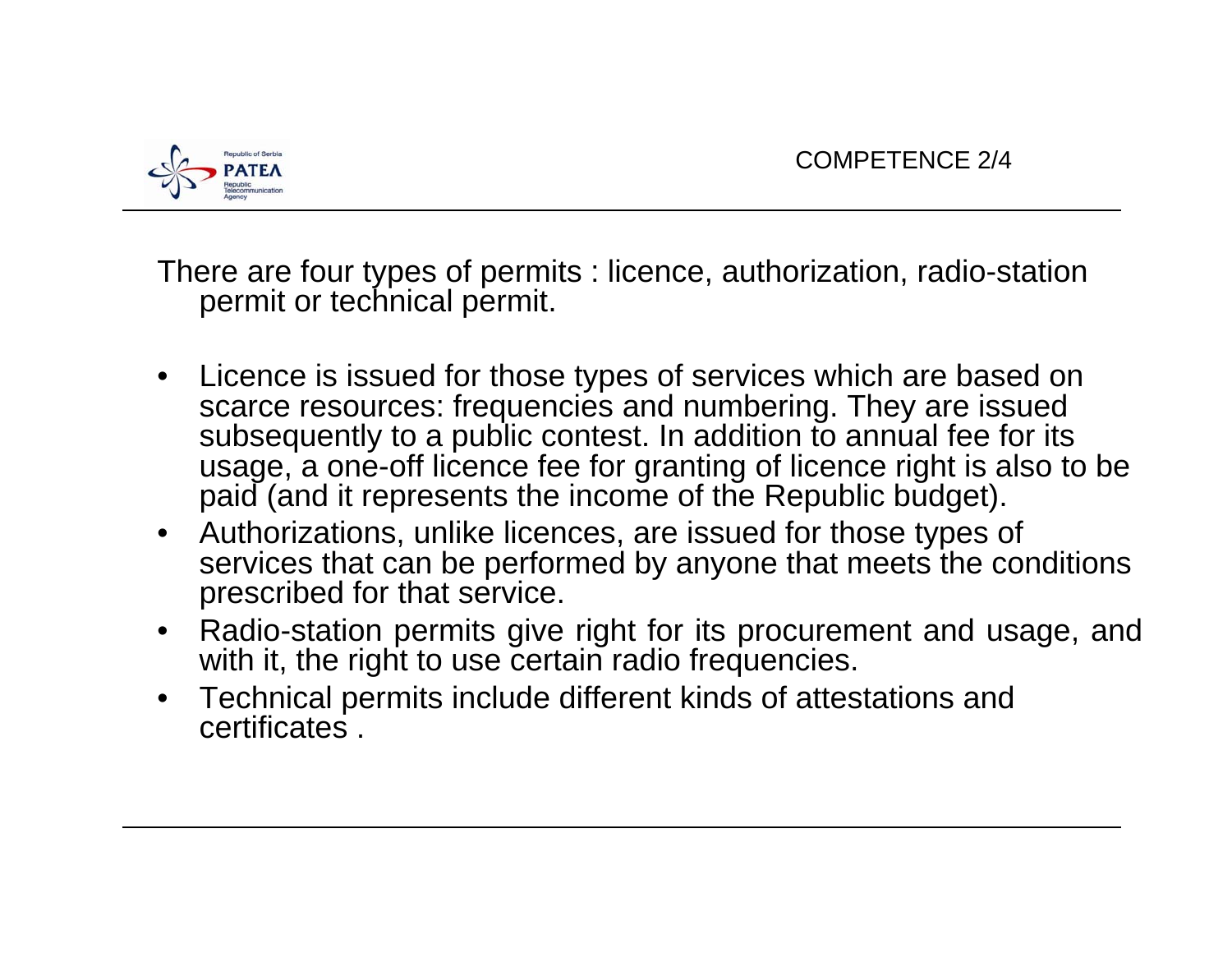

There are four types of permits : licence, authorization, radio-station permit or technical permit.

- Licence is issued for those types of services which are based on scarce resources: frequencies and numbering. They are issued subsequently to a public contest. In addition to annual fee for its usage, a one-off licence fee for granting of licence right is also to be paid (and it represents the income of the Republic budget).
- Authorizations, unlike licences, are issued for those types of services that can be performed by anyone that meets the conditions prescribed for that service.
- Radio-station permits give right for its procurement and usage, and with it, the right to use certain radio frequencies.
- Technical permits include different kinds of attestations and certificates .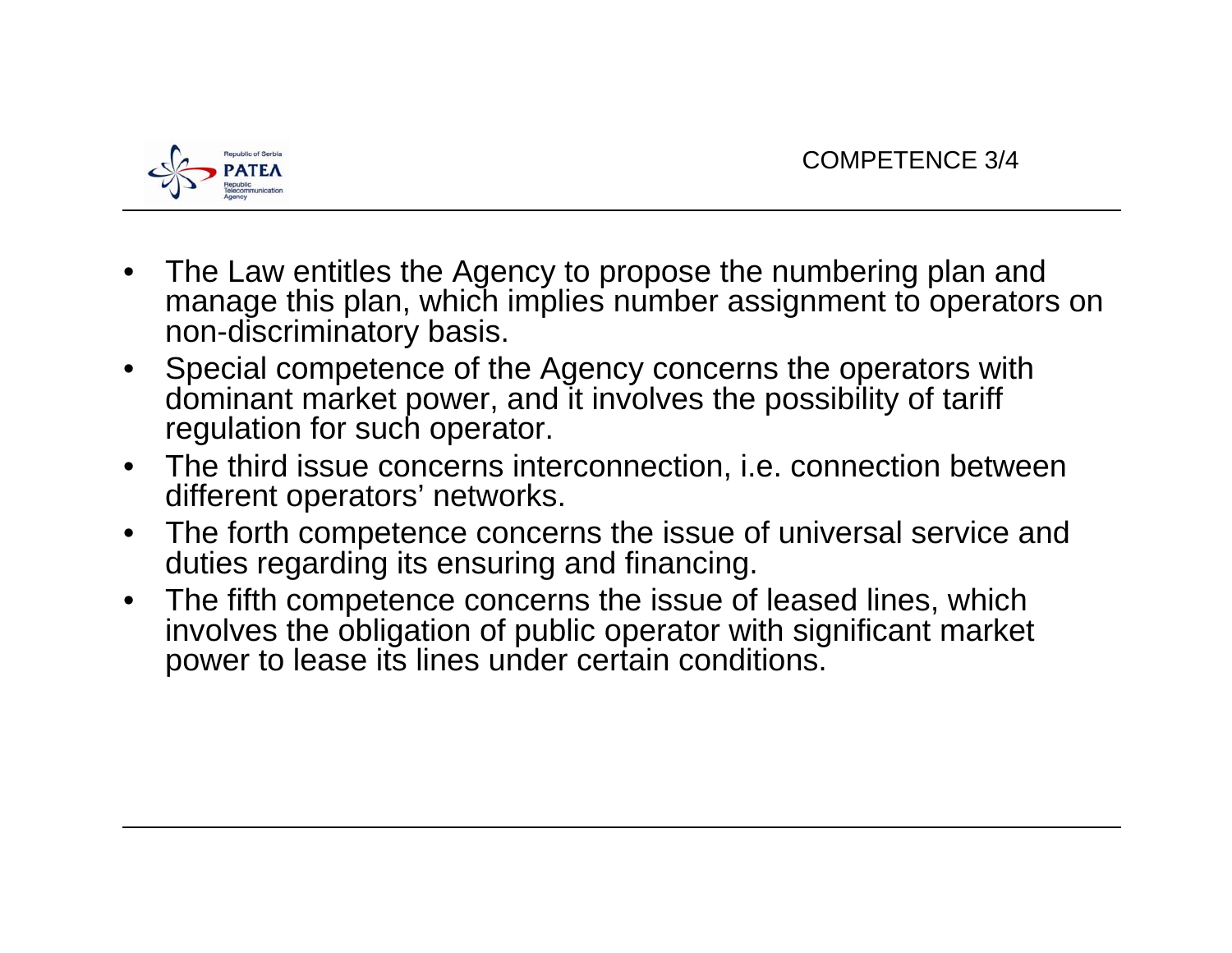

- • The Law entitles the Agency to propose the numbering plan and manage this plan, which implies number assignment to operators on non-discriminatory basis.
- $\bullet$  Special competence of the Agency concerns the operators with dominant market power, and it involves the possibility of tariff regulation for such operator.
- The third issue concerns interconnection, i.e. connection between different operators' networks.
- $\bullet$  The forth competence concerns the issue of universal service and duties regarding its ensuring and financing.
- $\bullet$  The fifth competence concerns the issue of leased lines, which involves the obligation of public operator with significant market power to lease its lines under certain conditions.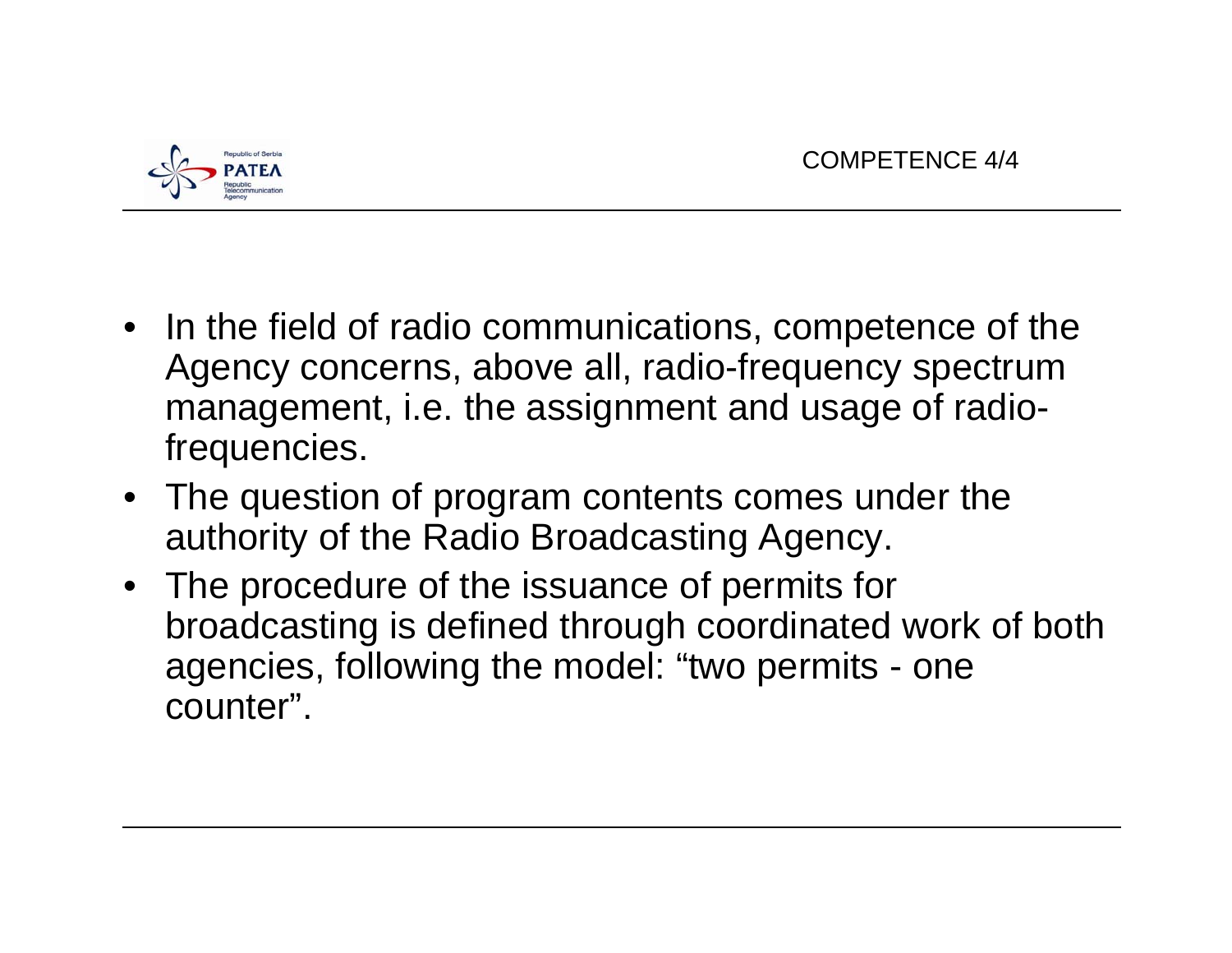

- In the field of radio communications, competence of the Agency concerns, above all, radio-frequency spectrum management, i.e. the assignment and usage of radiofrequencies.
- The question of program contents comes under the authority of the Radio Broadcasting Agency.
- The procedure of the issuance of permits for broadcasting is defined through coordinated work of both agencies, following the model: "two permits - one counter".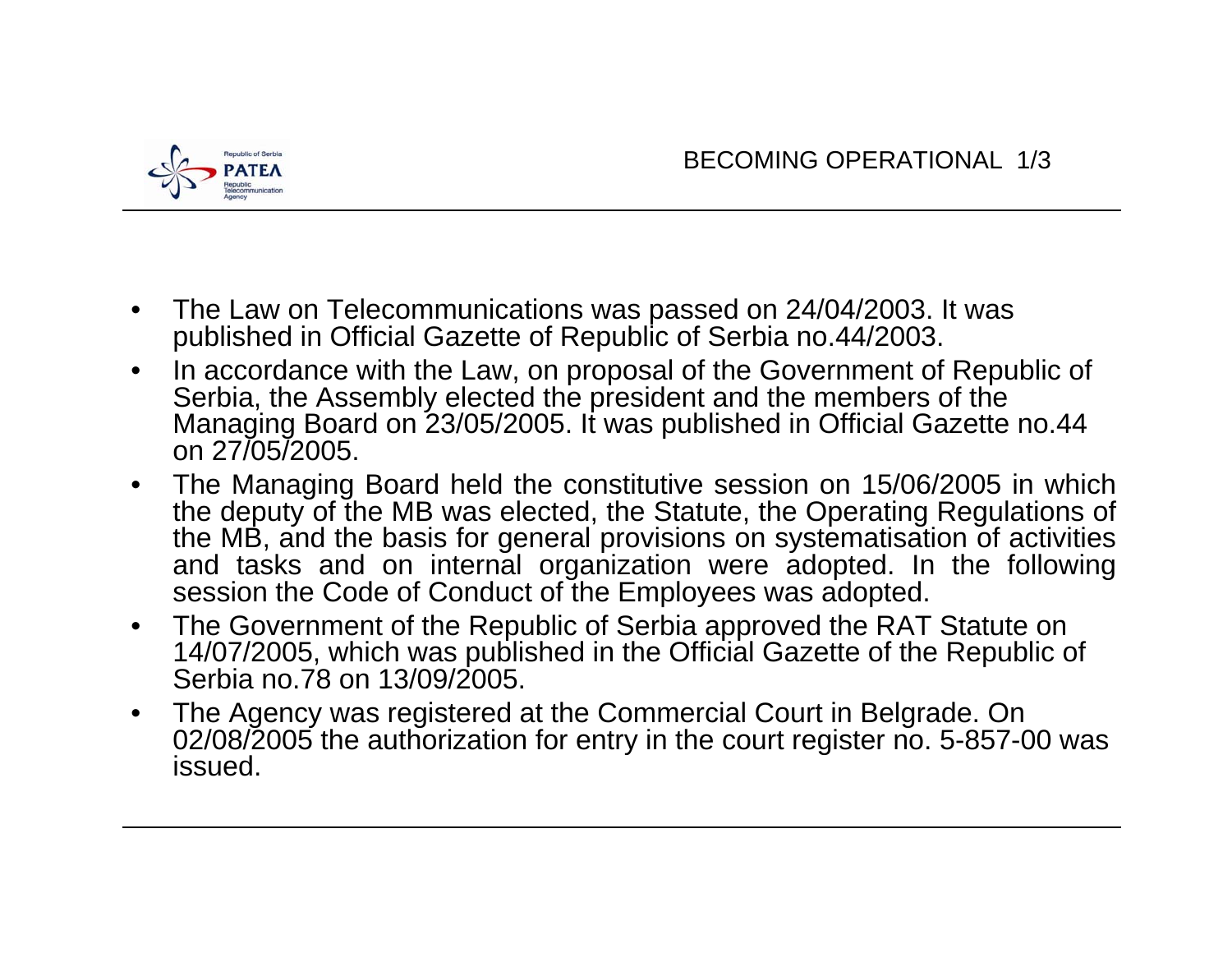

- • The Law on Telecommunications was passed on 24/04/2003. It was published in Official Gazette of Republic of Serbia no.44/2003.
- • In accordance with the Law, on proposal of the Government of Republic of Serbia, the Assembly elected the president and the members of the Managing Board on 23/05/2005. It was published in Official Gazette no.44 on 27/05/2005.
- • The Managing Board held the constitutive session on 15/06/2005 in which the deputy of the MB was elected, the Statute, the Operating Regulations of the MB, and the basis for general provisions on systematisation of activities and tasks and on internal organization were adopted. In the following session the Code of Conduct of the Employees was adopted.
- $\bullet$  The Government of the Republic of Serbia approved the RAT Statute on 14/07/2005, which was published in the Official Gazette of the Republic of Serbia no.78 on 13/09/2005.
- • The Agency was registered at the Commercial Court in Belgrade. On 02/08/2005 the authorization for entry in the court register no. 5-857-00 was issued.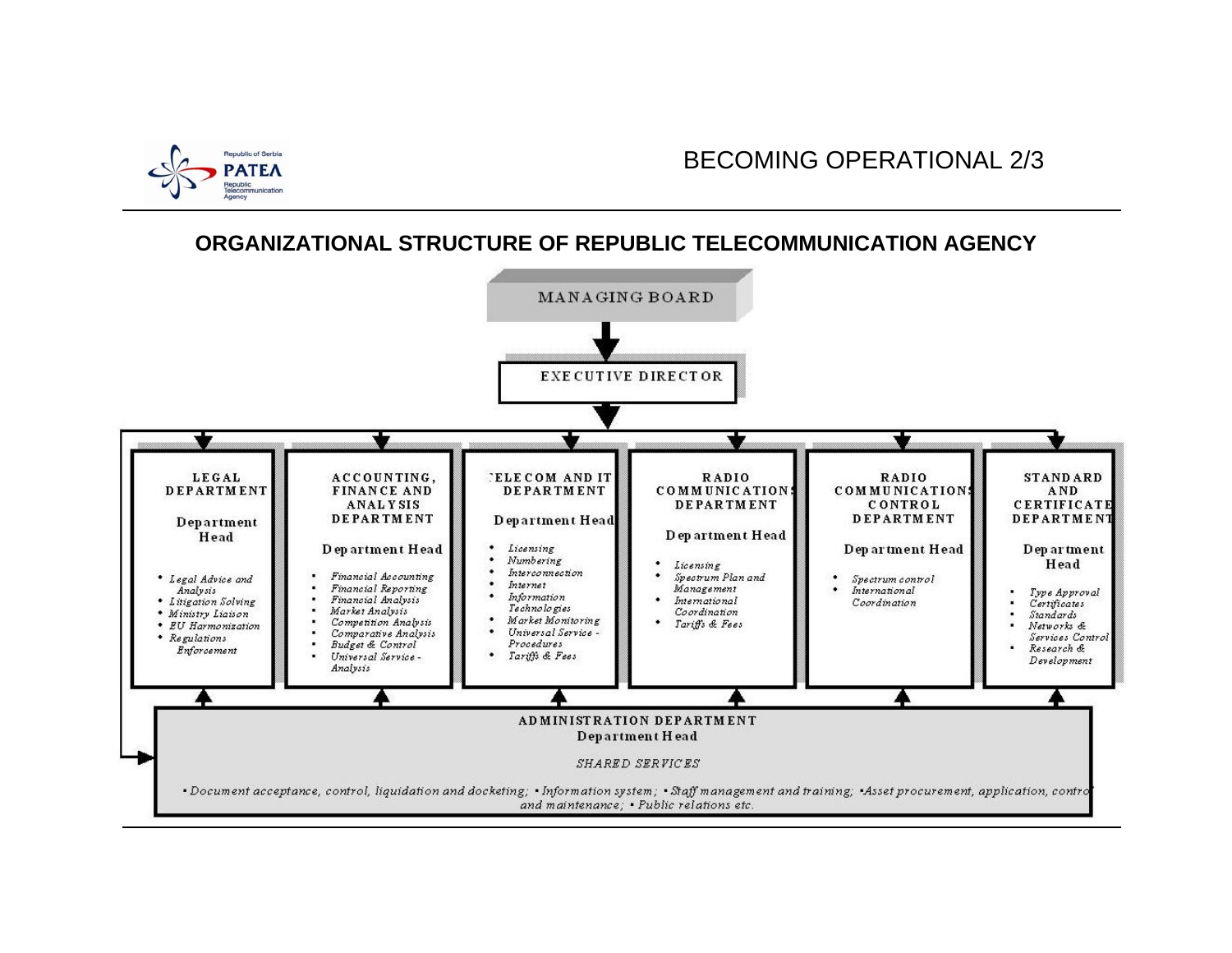

**ORGANIZATIONAL STRUCTURE OF REPUBLIC TELECOMMUNICATION AGENCY** 

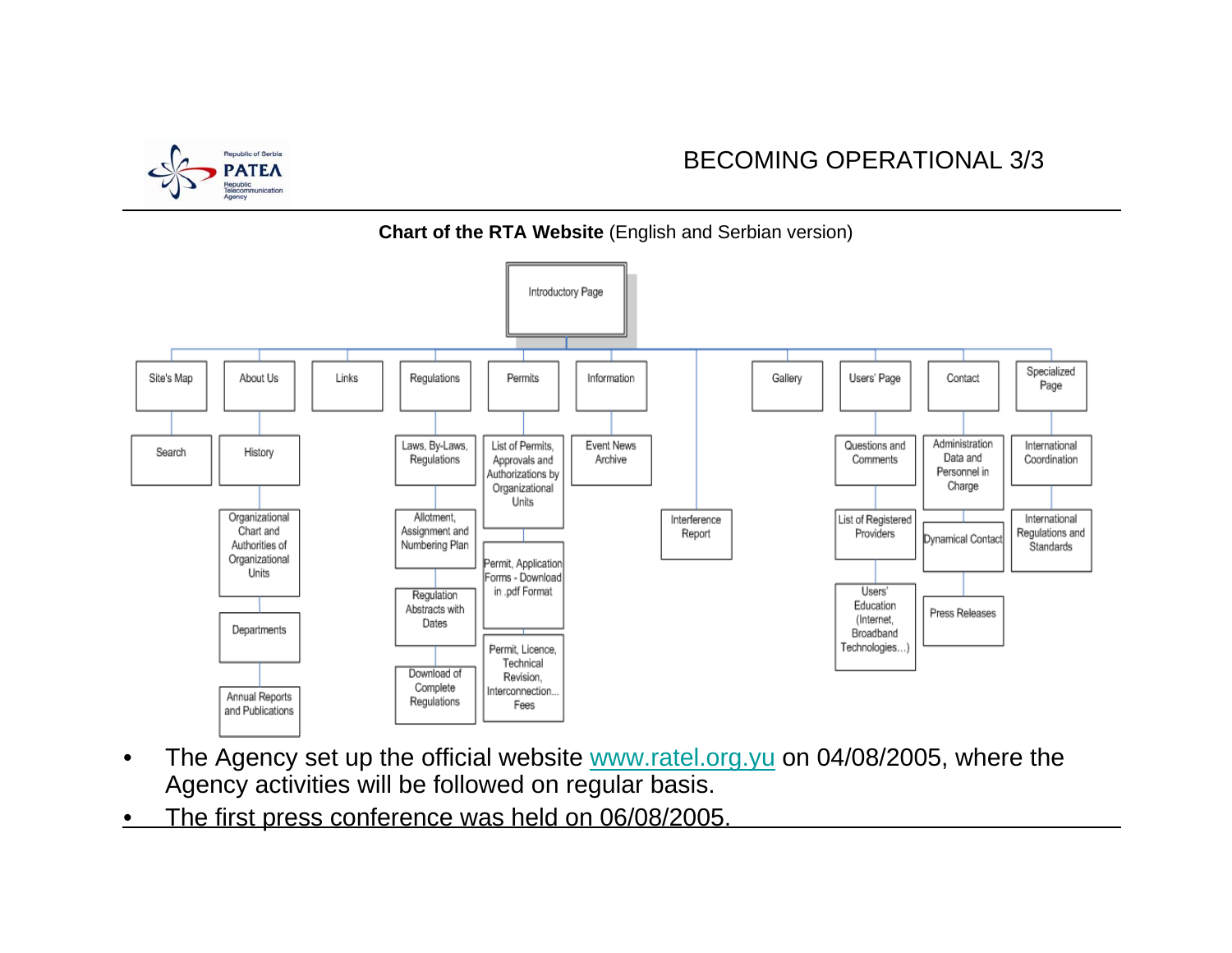

## BECOMING OPERATIONAL 3/3



- •The Agency set up the official website www.ratel.org. yu on 04/08/2005, where the Agency activities will be followed on regular basis.
- •The first press conference was held on 06/08/2005.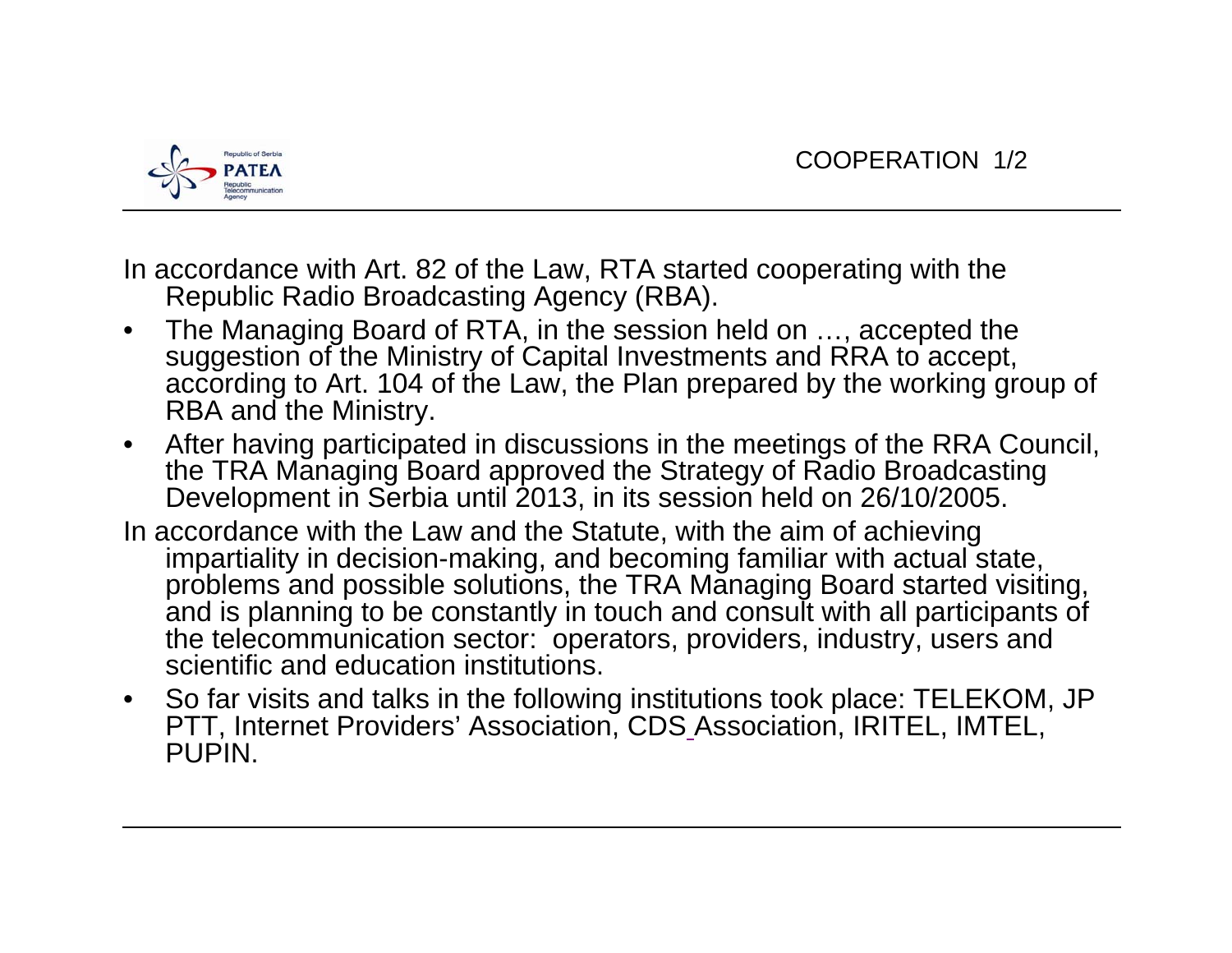

In accordance with Art. 82 of the Law, RTA started cooperating with the Republic Radio Broadcasting Agency (RBA).

- $\bullet$  The Managing Board of RTA, in the session held on …, accepted the suggestion of the Ministry of Capital Investments and RRA to accept, according to Art. 104 of the Law, the Plan prepared by the working group of RBA and the Ministry.
- $\bullet$  After having participated in discussions in the meetings of the RRA Council, the TRA Managing Board approved the Strategy of Radio Broadcasting Development in Serbia until 2013, in its session held on 26/10/2005.
- In accordance with the Law and the Statute, with the aim of achieving impartiality in decision-making, and becoming familiar with actual state, problems and possible solutions, the TRA Managing Board started visiting, and is planning to be constantly in touch and consult with all participants of the telecommunication sector: operators, providers, industry, users and scientific and education institutions.
- So far visits and talks in the following institutions took place: TELEKOM, JP PTT, Internet Providers' Association, CDS Association, IRITEL, IMTEL, PUPIN.